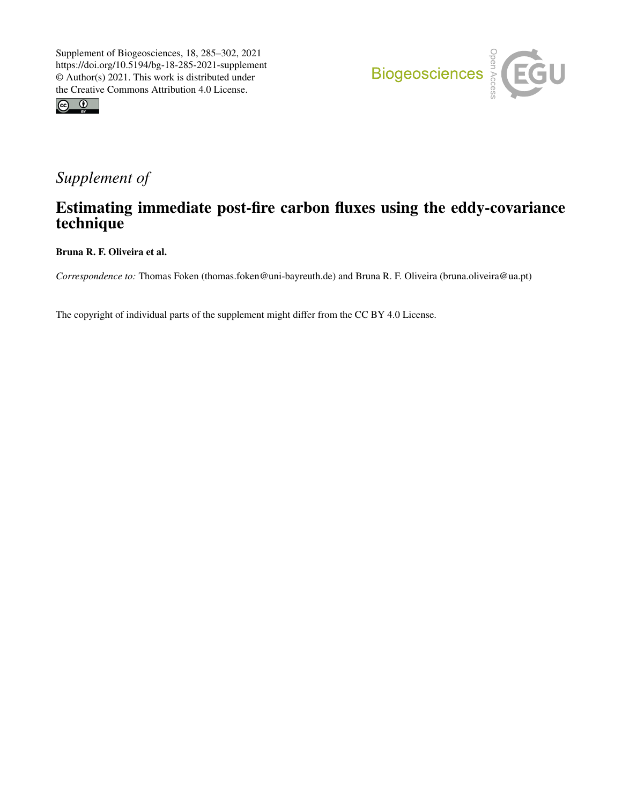



# *Supplement of*

## Estimating immediate post-fire carbon fluxes using the eddy-covariance technique

Bruna R. F. Oliveira et al.

*Correspondence to:* Thomas Foken (thomas.foken@uni-bayreuth.de) and Bruna R. F. Oliveira (bruna.oliveira@ua.pt)

The copyright of individual parts of the supplement might differ from the CC BY 4.0 License.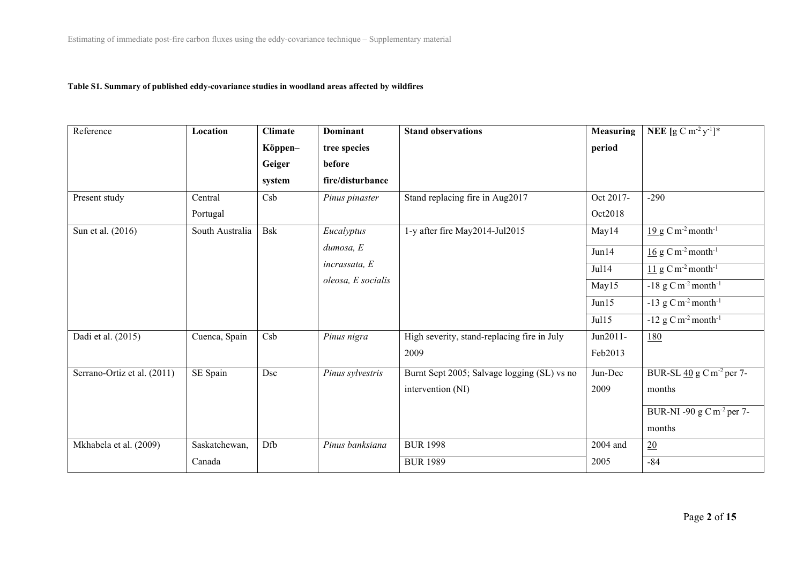#### **Table S1. Summary of published eddy-covariance studies in woodland areas affected by wildfires**

| Reference                   | Location        | <b>Climate</b> | <b>Dominant</b>    | <b>Stand observations</b>                   | <b>Measuring</b> | <b>NEE</b> $[g C m^{-2} y^{-1}]$ *                   |
|-----------------------------|-----------------|----------------|--------------------|---------------------------------------------|------------------|------------------------------------------------------|
|                             |                 | Köppen-        | tree species       |                                             | period           |                                                      |
|                             |                 | Geiger         | before             |                                             |                  |                                                      |
|                             |                 | system         | fire/disturbance   |                                             |                  |                                                      |
| Present study               | Central         | Csb            | Pinus pinaster     | Stand replacing fire in Aug2017             | Oct 2017-        | $-290$                                               |
|                             | Portugal        |                |                    |                                             | Oct2018          |                                                      |
| Sun et al. (2016)           | South Australia | <b>Bsk</b>     | Eucalyptus         | 1-y after fire May2014-Jul2015              | May14            | $19 g$ C m <sup>-2</sup> month <sup>-1</sup>         |
|                             |                 |                | dumosa, E          |                                             | Jun14            | $16$ g C m <sup>-2</sup> month <sup>-1</sup>         |
|                             |                 |                | incrassata, E      |                                             | Jul14            | $11 \text{ g}$ C m <sup>-2</sup> month <sup>-1</sup> |
|                             |                 |                | oleosa, E socialis |                                             | May15            | $-18$ g C m <sup>-2</sup> month <sup>-1</sup>        |
|                             |                 |                |                    |                                             | Jun15            | $-13$ g C m <sup>-2</sup> month <sup>-1</sup>        |
|                             |                 |                |                    |                                             | Jul15            | $-12$ g C m <sup>-2</sup> month <sup>-1</sup>        |
| Dadi et al. (2015)          | Cuenca, Spain   | Csb            | Pinus nigra        | High severity, stand-replacing fire in July | Jun2011-         | <u>180</u>                                           |
|                             |                 |                |                    | 2009                                        | Feb2013          |                                                      |
| Serrano-Ortiz et al. (2011) | SE Spain        | Dsc            | Pinus sylvestris   | Burnt Sept 2005; Salvage logging (SL) vs no | Jun-Dec          | BUR-SL $\frac{40}{9}$ g C m <sup>-2</sup> per 7-     |
|                             |                 |                |                    | intervention (NI)                           | 2009             | months                                               |
|                             |                 |                |                    |                                             |                  | BUR-NI -90 g C m <sup>-2</sup> per 7-                |
|                             |                 |                |                    |                                             |                  | months                                               |
| Mkhabela et al. (2009)      | Saskatchewan,   | Dfb            | Pinus banksiana    | <b>BUR 1998</b>                             | 2004 and         | 20                                                   |
|                             | Canada          |                |                    | <b>BUR 1989</b>                             | 2005             | $-84$                                                |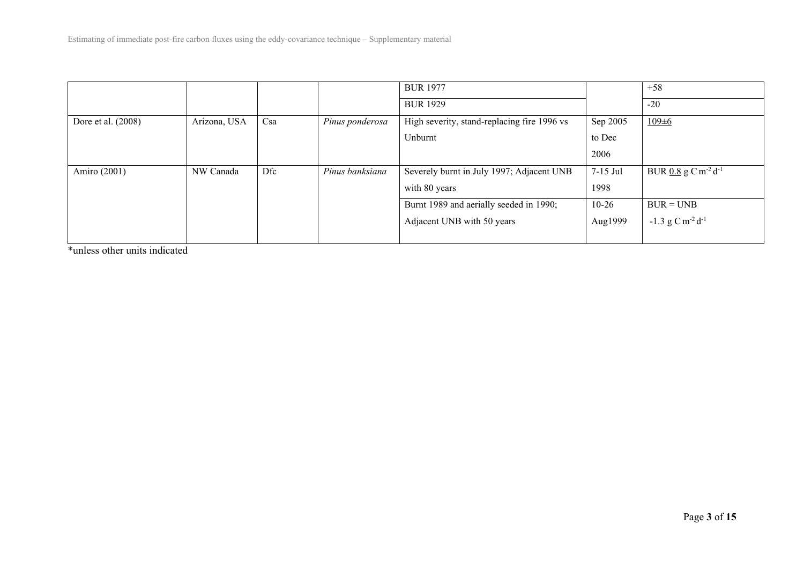|                    |              |     |                 | <b>BUR 1977</b>                             |           | $+58$                                         |
|--------------------|--------------|-----|-----------------|---------------------------------------------|-----------|-----------------------------------------------|
|                    |              |     |                 | <b>BUR 1929</b>                             |           | $-20$                                         |
| Dore et al. (2008) | Arizona, USA | Csa | Pinus ponderosa | High severity, stand-replacing fire 1996 vs | Sep 2005  | $109 \pm 6$                                   |
|                    |              |     |                 | Unburnt                                     | to Dec    |                                               |
|                    |              |     |                 |                                             | 2006      |                                               |
| Amiro (2001)       | NW Canada    | Dfc | Pinus banksiana | Severely burnt in July 1997; Adjacent UNB   | 7-15 Jul  | BUR $0.8$ g C m <sup>-2</sup> d <sup>-1</sup> |
|                    |              |     |                 | with 80 years                               | 1998      |                                               |
|                    |              |     |                 | Burnt 1989 and aerially seeded in 1990;     | $10 - 26$ | $BUR = UNB$                                   |
|                    |              |     |                 | Adjacent UNB with 50 years                  | Aug1999   | $-1.3$ g C m <sup>-2</sup> d <sup>-1</sup>    |
|                    |              |     |                 |                                             |           |                                               |

\*unless other units indicated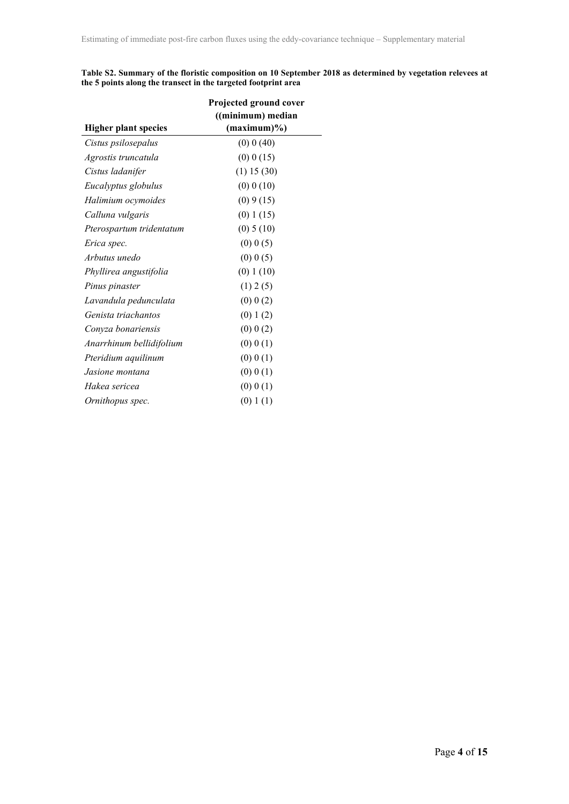| Table S2. Summary of the floristic composition on 10 September 2018 as determined by vegetation relevees at |  |
|-------------------------------------------------------------------------------------------------------------|--|
| the 5 points along the transect in the targeted footprint area                                              |  |

|                             | Projected ground cover |  |  |
|-----------------------------|------------------------|--|--|
|                             | ((minimum) median      |  |  |
| <b>Higher plant species</b> | $(\text{maximum})\%$   |  |  |
| Cistus psilosepalus         | (0) 0 (40)             |  |  |
| Agrostis truncatula         | (0) 0 (15)             |  |  |
| Cistus ladanifer            | (1) 15 (30)            |  |  |
| Eucalyptus globulus         | $(0)$ 0 $(10)$         |  |  |
| Halimium ocymoides          | (0) 9(15)              |  |  |
| Calluna vulgaris            | (0) 1 (15)             |  |  |
| Pterospartum tridentatum    | (0) 5(10)              |  |  |
| Erica spec.                 | $(0)$ 0 $(5)$          |  |  |
| Arbutus unedo               | $(0)$ 0 $(5)$          |  |  |
| Phyllirea angustifolia      | (0) 1(10)              |  |  |
| Pinus pinaster              | (1) 2 (5)              |  |  |
| Lavandula pedunculata       | $(0)$ 0 $(2)$          |  |  |
| Genista triachantos         | (0) 1(2)               |  |  |
| Conyza bonariensis          | $(0)$ 0 $(2)$          |  |  |
| Anarrhinum bellidifolium    | (0) 0(1)               |  |  |
| Pteridium aquilinum         | (0) 0(1)               |  |  |
| Jasione montana             | (0) 0(1)               |  |  |
| Hakea sericea               | (0) 0(1)               |  |  |
| Ornithopus spec.            | (0) 1(1)               |  |  |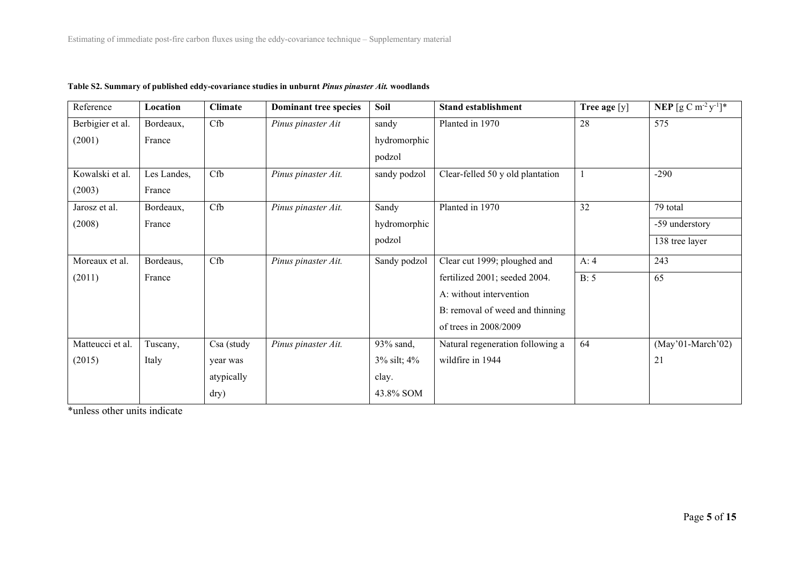| Reference        | Location    | <b>Climate</b> | Dominant tree species | Soil              | <b>Stand establishment</b>       | Tree age [y] | <b>NEP</b> $[g C m^{-2} y^{-1}]^*$ |
|------------------|-------------|----------------|-----------------------|-------------------|----------------------------------|--------------|------------------------------------|
| Berbigier et al. | Bordeaux,   | Cfb            | Pinus pinaster Ait    | sandy             | Planted in 1970                  | 28           | 575                                |
| (2001)           | France      |                |                       | hydromorphic      |                                  |              |                                    |
|                  |             |                |                       | podzol            |                                  |              |                                    |
| Kowalski et al.  | Les Landes, | Cfb            | Pinus pinaster Ait.   | sandy podzol      | Clear-felled 50 y old plantation |              | $-290$                             |
| (2003)           | France      |                |                       |                   |                                  |              |                                    |
| Jarosz et al.    | Bordeaux,   | Cfb            | Pinus pinaster Ait.   | Sandy             | Planted in 1970                  | 32           | 79 total                           |
| (2008)           | France      |                |                       | hydromorphic      |                                  |              | -59 understory                     |
|                  |             |                |                       | podzol            |                                  |              | 138 tree layer                     |
| Moreaux et al.   | Bordeaus,   | Cfb            | Pinus pinaster Ait.   | Sandy podzol      | Clear cut 1999; ploughed and     | A: 4         | 243                                |
| (2011)           | France      |                |                       |                   | fertilized 2001; seeded 2004.    | B: 5         | 65                                 |
|                  |             |                |                       |                   | A: without intervention          |              |                                    |
|                  |             |                |                       |                   | B: removal of weed and thinning  |              |                                    |
|                  |             |                |                       |                   | of trees in 2008/2009            |              |                                    |
| Matteucci et al. | Tuscany,    | Csa (study     | Pinus pinaster Ait.   | 93% sand,         | Natural regeneration following a | 64           | $(May'01-March'02)$                |
| (2015)           | Italy       | year was       |                       | $3\%$ silt; $4\%$ | wildfire in 1944                 |              | 21                                 |
|                  |             | atypically     |                       | clay.             |                                  |              |                                    |
|                  |             | dry)           |                       | 43.8% SOM         |                                  |              |                                    |

### **Table S2. Summary of published eddy-covariance studies in unburnt** *Pinus pinaster Ait.* **woodlands**

\*unless other units indicate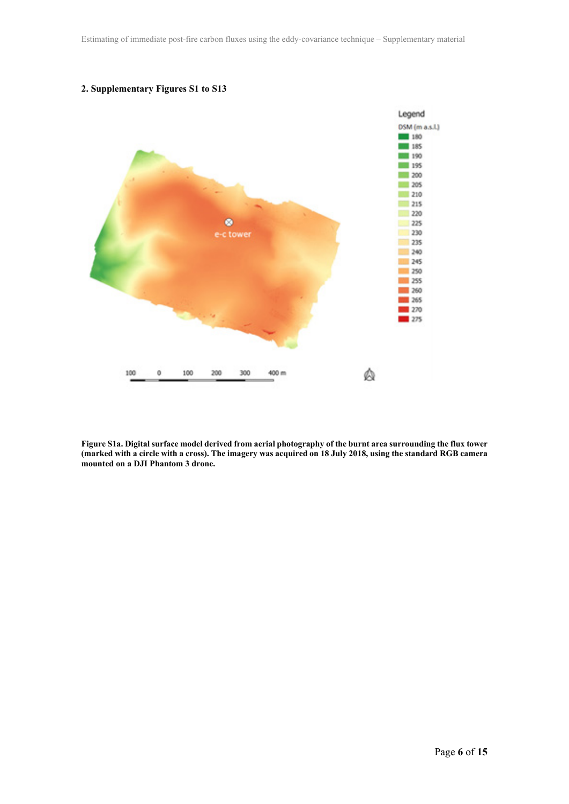

#### **2. Supplementary Figures S1 to S13**

**Figure S1a. Digital surface model derived from aerial photography of the burnt area surrounding the flux tower (marked with a circle with a cross). The imagery was acquired on 18 July 2018, using the standard RGB camera mounted on a DJI Phantom 3 drone.**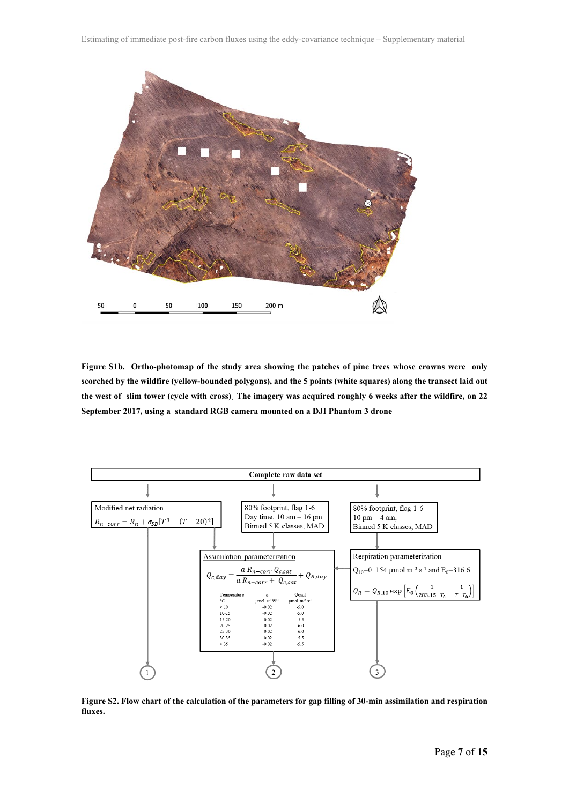

**Figure S1b. Ortho-photomap of the study area showing the patches of pine trees whose crowns were only scorched by the wildfire (yellow-bounded polygons), and the 5 points (white squares) along the transect laid out the west of slim tower (cycle with cross)¸ The imagery was acquired roughly 6 weeks after the wildfire, on 22 September 2017, using a standard RGB camera mounted on a DJI Phantom 3 drone**



**Figure S2. Flow chart of the calculation of the parameters for gap filling of 30-min assimilation and respiration fluxes.**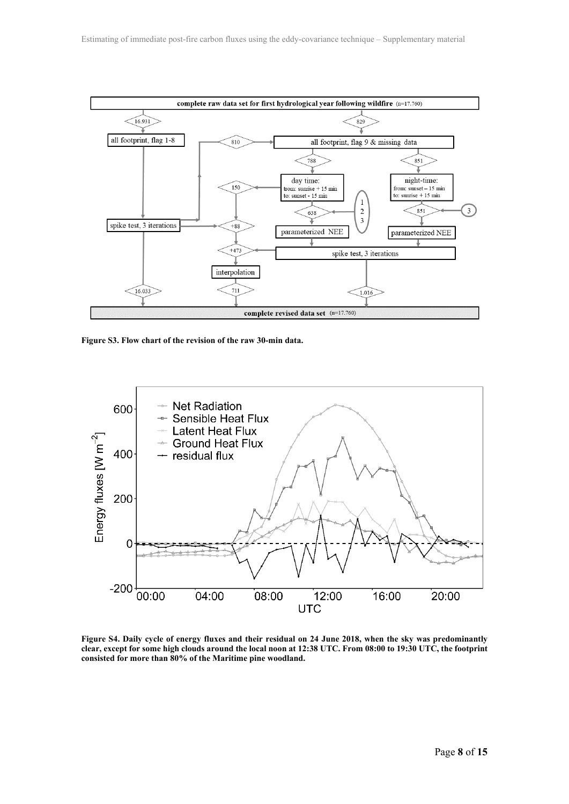

**Figure S3. Flow chart of the revision of the raw 30-min data.**



**Figure S4. Daily cycle of energy fluxes and their residual on 24 June 2018, when the sky was predominantly clear, except for some high clouds around the local noon at 12:38 UTC. From 08:00 to 19:30 UTC, the footprint consisted for more than 80% of the Maritime pine woodland.**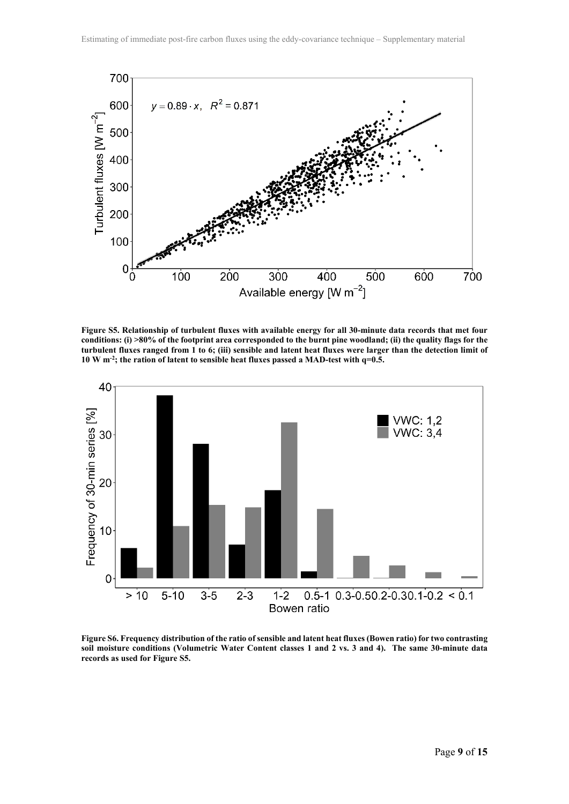

**Figure S5. Relationship of turbulent fluxes with available energy for all 30-minute data records that met four conditions: (i) >80% of the footprint area corresponded to the burnt pine woodland; (ii) the quality flags for the turbulent fluxes ranged from 1 to 6; (iii) sensible and latent heat fluxes were larger than the detection limit of 10 W m-2; the ration of latent to sensible heat fluxes passed a MAD-test with q=0.5.**



**Figure S6. Frequency distribution of the ratio of sensible and latent heat fluxes (Bowen ratio) for two contrasting soil moisture conditions (Volumetric Water Content classes 1 and 2 vs. 3 and 4). The same 30-minute data records as used for Figure S5.**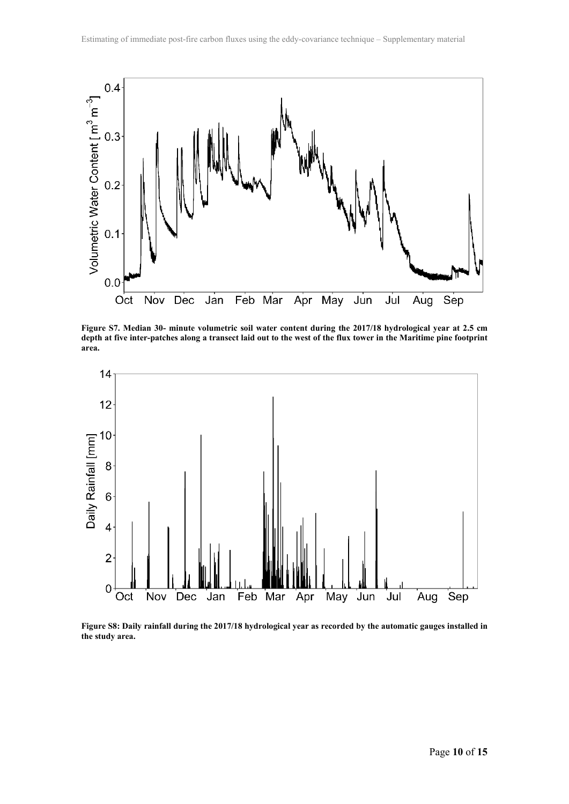

**Figure S7. Median 30- minute volumetric soil water content during the 2017/18 hydrological year at 2.5 cm depth at five inter-patches along a transect laid out to the west of the flux tower in the Maritime pine footprint area.**



**Figure S8: Daily rainfall during the 2017/18 hydrological year as recorded by the automatic gauges installed in the study area.**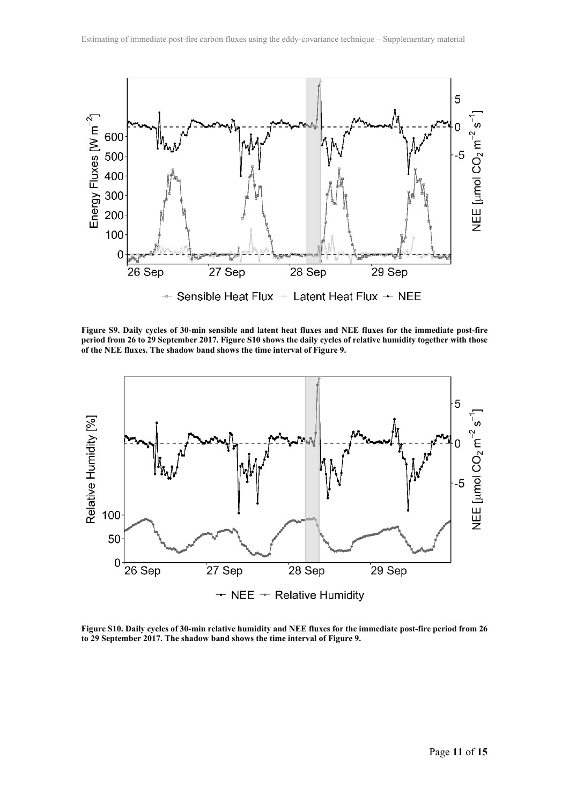

**Figure S9. Daily cycles of 30-min sensible and latent heat fluxes and NEE fluxes for the immediate post-fire period from 26 to 29 September 2017. Figure S10 shows the daily cycles of relative humidity together with those of the NEE fluxes. The shadow band shows the time interval of Figure 9.**



**Figure S10. Daily cycles of 30-min relative humidity and NEE fluxes for the immediate post-fire period from 26 to 29 September 2017. The shadow band shows the time interval of Figure 9.**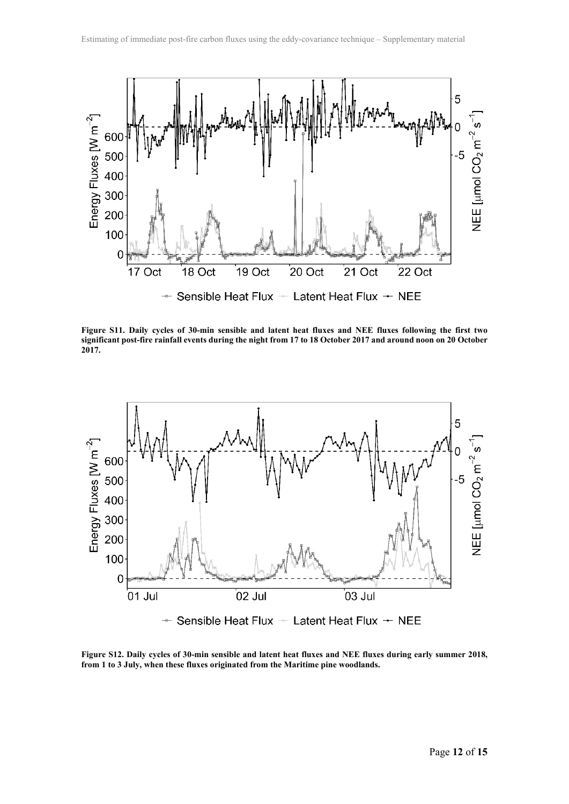

**Figure S11. Daily cycles of 30-min sensible and latent heat fluxes and NEE fluxes following the first two significant post-fire rainfall events during the night from 17 to 18 October 2017 and around noon on 20 October 2017.**



**Figure S12. Daily cycles of 30-min sensible and latent heat fluxes and NEE fluxes during early summer 2018, from 1 to 3 July, when these fluxes originated from the Maritime pine woodlands.**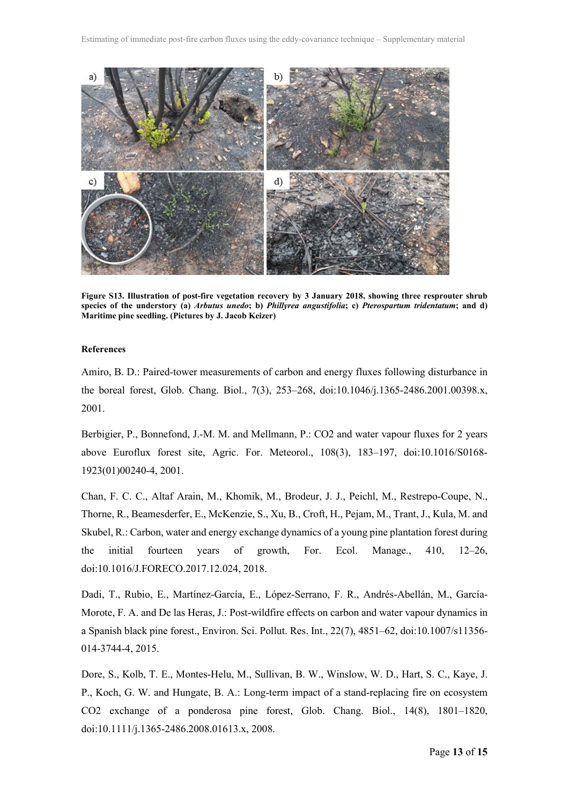

**Figure S13. Illustration of post-fire vegetation recovery by 3 January 2018, showing three resprouter shrub species of the understory (a)** *Arbutus unedo***; b)** *Phillyrea angustifolia***; c)** *Pterospartum tridentatum***; and d) Maritime pine seedling. (Pictures by J. Jacob Keizer)**

#### **References**

Amiro, B. D.: Paired-tower measurements of carbon and energy fluxes following disturbance in the boreal forest, Glob. Chang. Biol., 7(3), 253–268, doi:10.1046/j.1365-2486.2001.00398.x, 2001.

Berbigier, P., Bonnefond, J.-M. M. and Mellmann, P.: CO2 and water vapour fluxes for 2 years above Euroflux forest site, Agric. For. Meteorol., 108(3), 183–197, doi:10.1016/S0168- 1923(01)00240-4, 2001.

Chan, F. C. C., Altaf Arain, M., Khomik, M., Brodeur, J. J., Peichl, M., Restrepo-Coupe, N., Thorne, R., Beamesderfer, E., McKenzie, S., Xu, B., Croft, H., Pejam, M., Trant, J., Kula, M. and Skubel, R.: Carbon, water and energy exchange dynamics of a young pine plantation forest during the initial fourteen years of growth, For. Ecol. Manage., 410, 12–26, doi:10.1016/J.FORECO.2017.12.024, 2018.

Dadi, T., Rubio, E., Martínez-García, E., López-Serrano, F. R., Andrés-Abellán, M., García-Morote, F. A. and De las Heras, J.: Post-wildfire effects on carbon and water vapour dynamics in a Spanish black pine forest., Environ. Sci. Pollut. Res. Int., 22(7), 4851–62, doi:10.1007/s11356- 014-3744-4, 2015.

Dore, S., Kolb, T. E., Montes-Helu, M., Sullivan, B. W., Winslow, W. D., Hart, S. C., Kaye, J. P., Koch, G. W. and Hungate, B. A.: Long-term impact of a stand-replacing fire on ecosystem CO2 exchange of a ponderosa pine forest, Glob. Chang. Biol., 14(8), 1801–1820, doi:10.1111/j.1365-2486.2008.01613.x, 2008.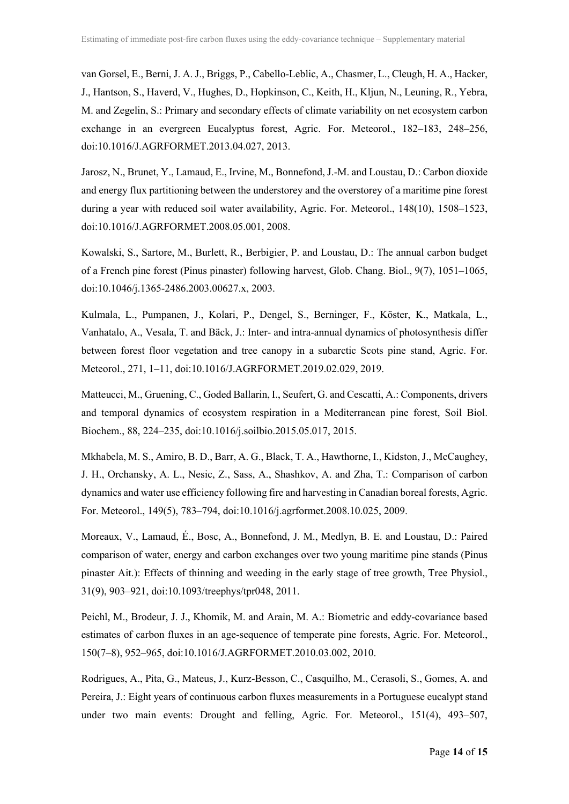van Gorsel, E., Berni, J. A. J., Briggs, P., Cabello-Leblic, A., Chasmer, L., Cleugh, H. A., Hacker, J., Hantson, S., Haverd, V., Hughes, D., Hopkinson, C., Keith, H., Kljun, N., Leuning, R., Yebra, M. and Zegelin, S.: Primary and secondary effects of climate variability on net ecosystem carbon exchange in an evergreen Eucalyptus forest, Agric. For. Meteorol., 182–183, 248–256, doi:10.1016/J.AGRFORMET.2013.04.027, 2013.

Jarosz, N., Brunet, Y., Lamaud, E., Irvine, M., Bonnefond, J.-M. and Loustau, D.: Carbon dioxide and energy flux partitioning between the understorey and the overstorey of a maritime pine forest during a year with reduced soil water availability, Agric. For. Meteorol., 148(10), 1508–1523, doi:10.1016/J.AGRFORMET.2008.05.001, 2008.

Kowalski, S., Sartore, M., Burlett, R., Berbigier, P. and Loustau, D.: The annual carbon budget of a French pine forest (Pinus pinaster) following harvest, Glob. Chang. Biol., 9(7), 1051–1065, doi:10.1046/j.1365-2486.2003.00627.x, 2003.

Kulmala, L., Pumpanen, J., Kolari, P., Dengel, S., Berninger, F., Köster, K., Matkala, L., Vanhatalo, A., Vesala, T. and Bäck, J.: Inter- and intra-annual dynamics of photosynthesis differ between forest floor vegetation and tree canopy in a subarctic Scots pine stand, Agric. For. Meteorol., 271, 1–11, doi:10.1016/J.AGRFORMET.2019.02.029, 2019.

Matteucci, M., Gruening, C., Goded Ballarin, I., Seufert, G. and Cescatti, A.: Components, drivers and temporal dynamics of ecosystem respiration in a Mediterranean pine forest, Soil Biol. Biochem., 88, 224–235, doi:10.1016/j.soilbio.2015.05.017, 2015.

Mkhabela, M. S., Amiro, B. D., Barr, A. G., Black, T. A., Hawthorne, I., Kidston, J., McCaughey, J. H., Orchansky, A. L., Nesic, Z., Sass, A., Shashkov, A. and Zha, T.: Comparison of carbon dynamics and water use efficiency following fire and harvesting in Canadian boreal forests, Agric. For. Meteorol., 149(5), 783–794, doi:10.1016/j.agrformet.2008.10.025, 2009.

Moreaux, V., Lamaud, É., Bosc, A., Bonnefond, J. M., Medlyn, B. E. and Loustau, D.: Paired comparison of water, energy and carbon exchanges over two young maritime pine stands (Pinus pinaster Ait.): Effects of thinning and weeding in the early stage of tree growth, Tree Physiol., 31(9), 903–921, doi:10.1093/treephys/tpr048, 2011.

Peichl, M., Brodeur, J. J., Khomik, M. and Arain, M. A.: Biometric and eddy-covariance based estimates of carbon fluxes in an age-sequence of temperate pine forests, Agric. For. Meteorol., 150(7–8), 952–965, doi:10.1016/J.AGRFORMET.2010.03.002, 2010.

Rodrigues, A., Pita, G., Mateus, J., Kurz-Besson, C., Casquilho, M., Cerasoli, S., Gomes, A. and Pereira, J.: Eight years of continuous carbon fluxes measurements in a Portuguese eucalypt stand under two main events: Drought and felling, Agric. For. Meteorol., 151(4), 493–507,